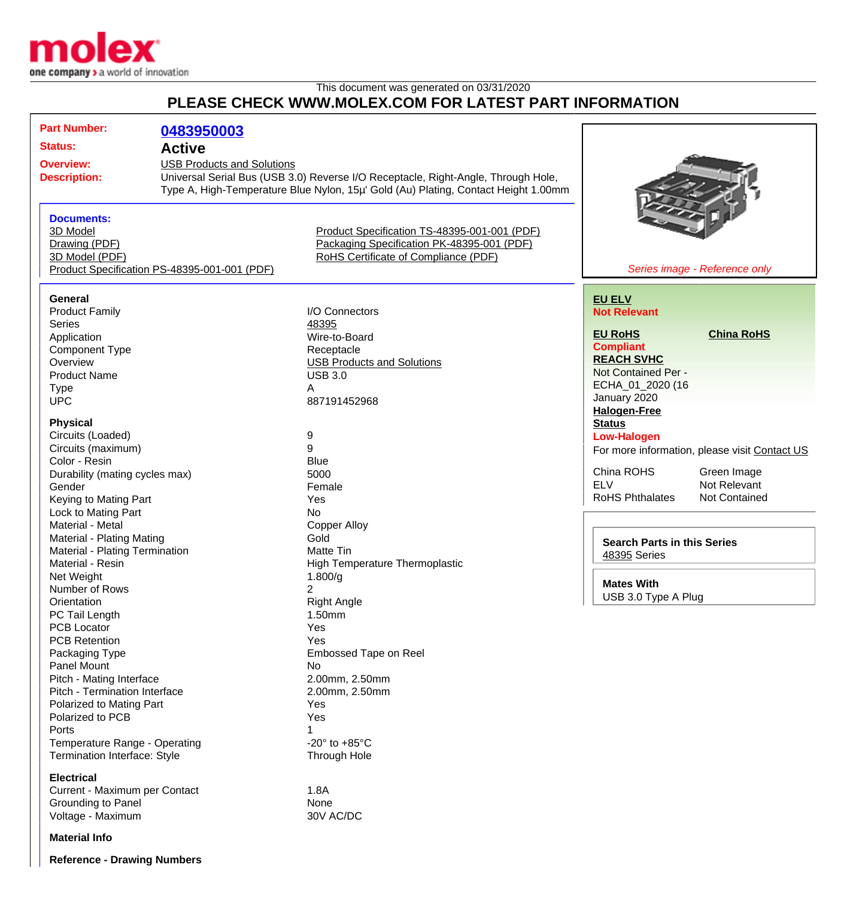

## This document was generated on 03/31/2020 **PLEASE CHECK WWW.MOLEX.COM FOR LATEST PART INFORMATION**

| <b>Part Number:</b>                                            | 0483950003                                                                                                                                                                                     |                                                                                    |                                               |
|----------------------------------------------------------------|------------------------------------------------------------------------------------------------------------------------------------------------------------------------------------------------|------------------------------------------------------------------------------------|-----------------------------------------------|
| <b>Status:</b>                                                 | <b>Active</b>                                                                                                                                                                                  |                                                                                    |                                               |
|                                                                |                                                                                                                                                                                                |                                                                                    |                                               |
| <b>Overview:</b><br><b>USB Products and Solutions</b>          |                                                                                                                                                                                                |                                                                                    |                                               |
|                                                                | Universal Serial Bus (USB 3.0) Reverse I/O Receptacle, Right-Angle, Through Hole,<br><b>Description:</b><br>Type A, High-Temperature Blue Nylon, 15µ' Gold (Au) Plating, Contact Height 1.00mm |                                                                                    |                                               |
|                                                                |                                                                                                                                                                                                |                                                                                    |                                               |
|                                                                |                                                                                                                                                                                                |                                                                                    |                                               |
| <b>Documents:</b>                                              |                                                                                                                                                                                                |                                                                                    |                                               |
| 3D Model                                                       |                                                                                                                                                                                                | Product Specification TS-48395-001-001 (PDF)                                       |                                               |
| Drawing (PDF)                                                  |                                                                                                                                                                                                | Packaging Specification PK-48395-001 (PDF)<br>RoHS Certificate of Compliance (PDF) |                                               |
| 3D Model (PDF)<br>Product Specification PS-48395-001-001 (PDF) |                                                                                                                                                                                                |                                                                                    | Series image - Reference only                 |
|                                                                |                                                                                                                                                                                                |                                                                                    |                                               |
| <b>General</b>                                                 |                                                                                                                                                                                                |                                                                                    | <b>EU ELV</b>                                 |
| <b>Product Family</b>                                          |                                                                                                                                                                                                | I/O Connectors                                                                     | <b>Not Relevant</b>                           |
| <b>Series</b>                                                  |                                                                                                                                                                                                | 48395                                                                              |                                               |
| Application                                                    |                                                                                                                                                                                                | Wire-to-Board                                                                      | <b>EU RoHS</b><br><b>China RoHS</b>           |
| <b>Component Type</b>                                          |                                                                                                                                                                                                | Receptacle                                                                         | <b>Compliant</b>                              |
| Overview                                                       |                                                                                                                                                                                                | <b>USB Products and Solutions</b>                                                  | <b>REACH SVHC</b>                             |
| <b>Product Name</b>                                            |                                                                                                                                                                                                | <b>USB 3.0</b>                                                                     | Not Contained Per -                           |
|                                                                |                                                                                                                                                                                                | Α                                                                                  | ECHA_01_2020 (16                              |
| <b>Type</b><br><b>UPC</b>                                      |                                                                                                                                                                                                | 887191452968                                                                       | January 2020                                  |
|                                                                |                                                                                                                                                                                                |                                                                                    | <b>Halogen-Free</b>                           |
| <b>Physical</b>                                                |                                                                                                                                                                                                |                                                                                    | <b>Status</b>                                 |
| Circuits (Loaded)                                              |                                                                                                                                                                                                | 9                                                                                  | <b>Low-Halogen</b>                            |
| Circuits (maximum)                                             |                                                                                                                                                                                                | 9                                                                                  | For more information, please visit Contact US |
| Color - Resin                                                  |                                                                                                                                                                                                | <b>Blue</b>                                                                        |                                               |
| Durability (mating cycles max)                                 |                                                                                                                                                                                                | 5000                                                                               | China ROHS<br>Green Image                     |
| Gender                                                         |                                                                                                                                                                                                | Female                                                                             | <b>ELV</b><br>Not Relevant                    |
| Keying to Mating Part                                          |                                                                                                                                                                                                | Yes                                                                                | <b>RoHS Phthalates</b><br>Not Contained       |
| Lock to Mating Part                                            |                                                                                                                                                                                                | <b>No</b>                                                                          |                                               |
| Material - Metal                                               |                                                                                                                                                                                                | <b>Copper Alloy</b>                                                                |                                               |
| Material - Plating Mating                                      |                                                                                                                                                                                                | Gold                                                                               |                                               |
| Material - Plating Termination                                 |                                                                                                                                                                                                | Matte Tin                                                                          | <b>Search Parts in this Series</b>            |
| Material - Resin                                               |                                                                                                                                                                                                | <b>High Temperature Thermoplastic</b>                                              | 48395 Series                                  |
| Net Weight                                                     |                                                                                                                                                                                                | 1.800/g                                                                            |                                               |
| Number of Rows                                                 |                                                                                                                                                                                                |                                                                                    | <b>Mates With</b>                             |
| Orientation                                                    |                                                                                                                                                                                                | <b>Right Angle</b>                                                                 | USB 3.0 Type A Plug                           |
| PC Tail Length                                                 |                                                                                                                                                                                                | 1.50mm                                                                             |                                               |
| <b>PCB Locator</b>                                             |                                                                                                                                                                                                | Yes                                                                                |                                               |
| <b>PCB Retention</b>                                           |                                                                                                                                                                                                | Yes                                                                                |                                               |
| Packaging Type                                                 |                                                                                                                                                                                                | Embossed Tape on Reel                                                              |                                               |
| <b>Panel Mount</b>                                             |                                                                                                                                                                                                | No                                                                                 |                                               |
| Pitch - Mating Interface                                       |                                                                                                                                                                                                | 2.00mm, 2.50mm                                                                     |                                               |
| Pitch - Termination Interface                                  |                                                                                                                                                                                                | 2.00mm, 2.50mm                                                                     |                                               |
| Polarized to Mating Part                                       |                                                                                                                                                                                                | Yes                                                                                |                                               |
| Polarized to PCB                                               |                                                                                                                                                                                                | Yes                                                                                |                                               |
| Ports                                                          |                                                                                                                                                                                                |                                                                                    |                                               |
| Temperature Range - Operating                                  |                                                                                                                                                                                                | -20 $\degree$ to +85 $\degree$ C                                                   |                                               |
| Termination Interface: Style                                   |                                                                                                                                                                                                | <b>Through Hole</b>                                                                |                                               |
|                                                                |                                                                                                                                                                                                |                                                                                    |                                               |
| <b>Electrical</b>                                              |                                                                                                                                                                                                |                                                                                    |                                               |
| Current - Maximum per Contact                                  |                                                                                                                                                                                                | 1.8A<br>None                                                                       |                                               |
| Grounding to Panel                                             |                                                                                                                                                                                                | 30V AC/DC                                                                          |                                               |
| Voltage - Maximum                                              |                                                                                                                                                                                                |                                                                                    |                                               |
| <b>Material Info</b>                                           |                                                                                                                                                                                                |                                                                                    |                                               |

**Reference - Drawing Numbers**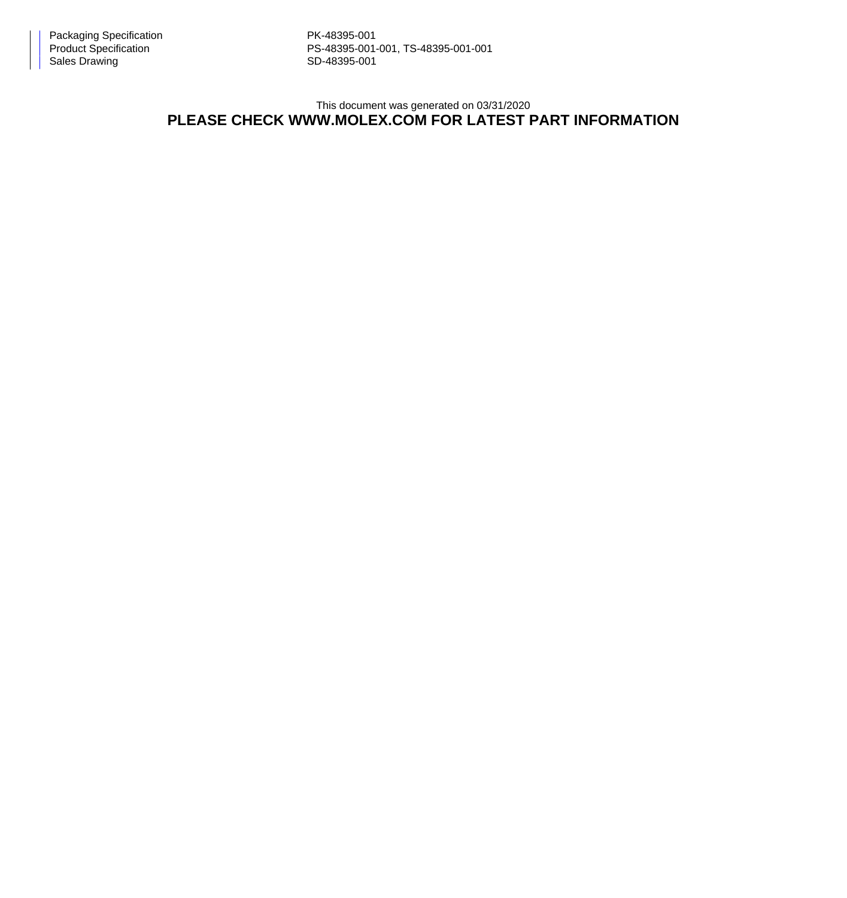PS-48395-001-001, TS-48395-001-001

This document was generated on 03/31/2020

## **PLEASE CHECK WWW.MOLEX.COM FOR LATEST PART INFORMATION**